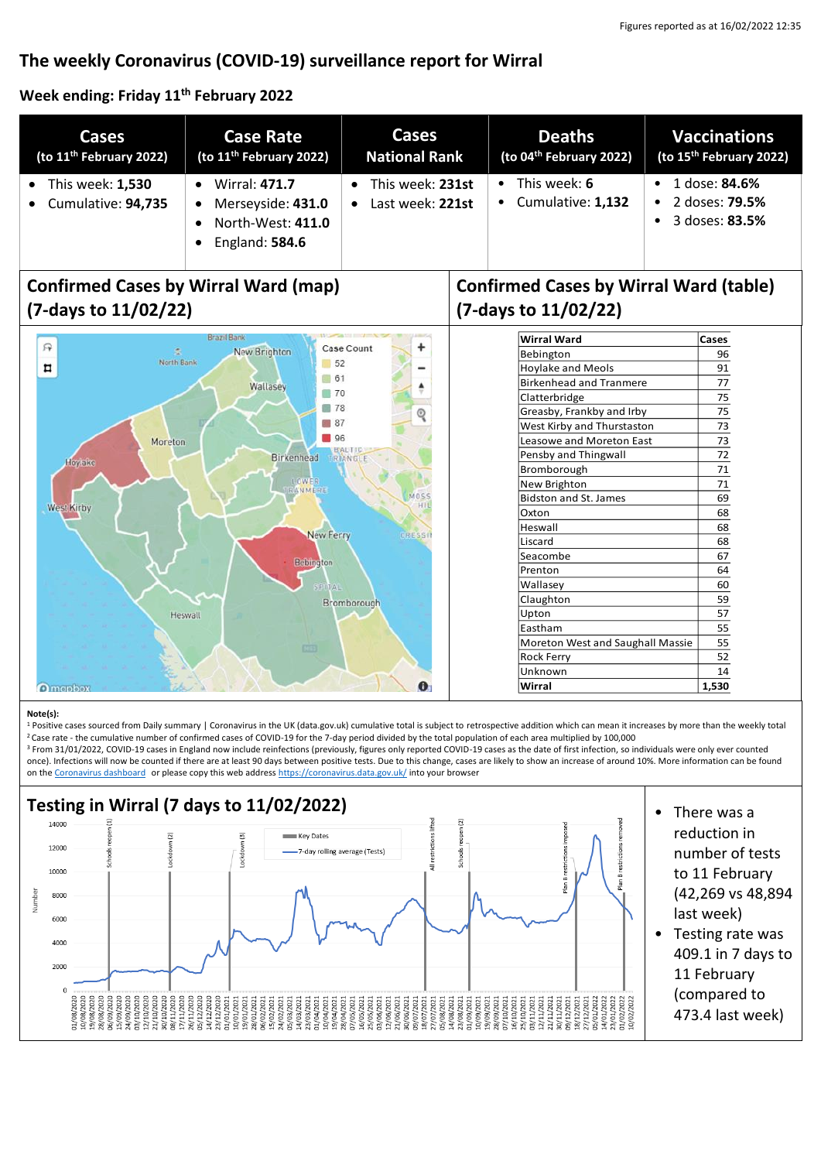# **The weekly Coronavirus (COVID-19) surveillance report for Wirral**

## **Week ending: Friday 11th February 2022**

| Cases                                  | <b>Case Rate</b>                                                                 | Cases                                | <b>Deaths</b>                               | <b>Vaccinations</b>                                             |
|----------------------------------------|----------------------------------------------------------------------------------|--------------------------------------|---------------------------------------------|-----------------------------------------------------------------|
| (to 11 <sup>th</sup> February 2022)    | (to 11 <sup>th</sup> February 2022)                                              | <b>National Rank</b>                 | (to 04 <sup>th</sup> February 2022)         | (to 15 <sup>th</sup> February 2022)                             |
| This week: 1,530<br>Cumulative: 94,735 | <b>Wirral: 471.7</b><br>Merseyside: 431.0<br>North-West: 411.0<br>England: 584.6 | This week: 231st<br>Last week: 221st | This week: 6<br>$\bullet$ Cumulative: 1,132 | 1 dose: <b>84.6%</b><br>2 doses: <b>79.5%</b><br>3 doses: 83.5% |

# **Confirmed Cases by Wirral Ward (map) (7-days to 11/02/22)**



# **Confirmed Cases by Wirral Ward (table) (7-days to 11/02/22)**

| <b>Wirral Ward</b>               |    |  |
|----------------------------------|----|--|
| Bebington                        |    |  |
| <b>Hoylake and Meols</b>         |    |  |
| <b>Birkenhead and Tranmere</b>   |    |  |
| Clatterbridge                    |    |  |
| Greasby, Frankby and Irby        |    |  |
| West Kirby and Thurstaston       |    |  |
| Leasowe and Moreton East         |    |  |
| Pensby and Thingwall             |    |  |
| Bromborough                      | 71 |  |
| New Brighton                     | 71 |  |
| <b>Bidston and St. James</b>     | 69 |  |
| Oxton                            | 68 |  |
| Heswall                          | 68 |  |
| Liscard                          | 68 |  |
| Seacombe                         |    |  |
| Prenton                          |    |  |
| Wallasey                         | 60 |  |
| Claughton                        | 59 |  |
| Upton                            | 57 |  |
| Eastham                          | 55 |  |
| Moreton West and Saughall Massie |    |  |
| Rock Ferry                       |    |  |
| Unknown                          |    |  |
| Wirral                           |    |  |

#### **Note(s):**

<sup>1</sup> Positive cases sourced from Daily summary | Coronavirus in the UK (data.gov.uk) cumulative total is subject to retrospective addition which can mean it increases by more than the weekly total <sup>2</sup> Case rate - the cumulative number of confirmed cases of COVID-19 for the 7-day period divided by the total population of each area multiplied by 100,000

<sup>3</sup> From 31/01/2022, COVID-19 cases in England now include reinfections (previously, figures only reported COVID-19 cases as the date of first infection, so individuals were only ever counted once). Infections will now be counted if there are at least 90 days between positive tests. Due to this change, cases are likely to show an increase of around 10%. More information can be found on the [Coronavirus dashboard](https://coronavirus.data.gov.uk/details/whats-new/record/af008739-ffa3-47b8-8efc-ef109f2cfbdd) or please copy this web addres[s https://coronavirus.data.gov.uk/](https://coronavirus.data.gov.uk/) into your browser



- reduction in number of tests to 11 February (42,269 vs 48,894 last week)
- Testing rate was 409.1 in 7 days to 11 February (compared to 473.4 last week)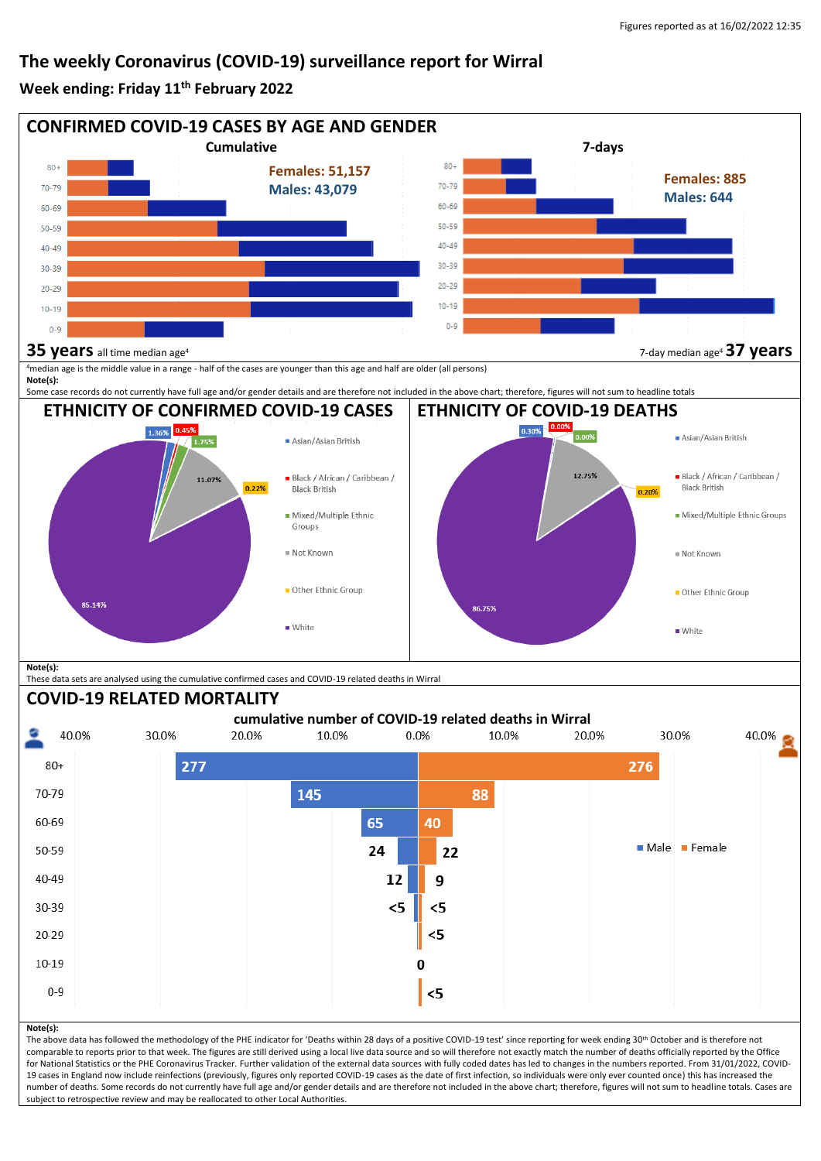## **The weekly Coronavirus (COVID-19) surveillance report for Wirral**

### **Week ending: Friday 11th February 2022**



subject to retrospective review and may be reallocated to other Local Authorities.